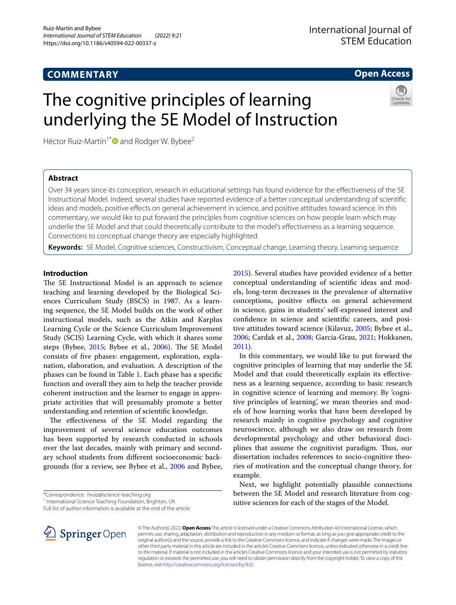# **COMMENTARY**

**Open Access**

# The cognitive principles of learning underlying the 5E Model of Instruction

Héctor Ruiz-Martín<sup>1[\\*](http://orcid.org/0000-0001-6264-0829)</sup> and Rodger W. Bybee<sup>2</sup>



# **Abstract**

Over 34 years since its conception, research in educational settings has found evidence for the efectiveness of the 5E Instructional Model. Indeed, several studies have reported evidence of a better conceptual understanding of scientifc ideas and models, positive efects on general achievement in science, and positive attitudes toward science. In this commentary, we would like to put forward the principles from cognitive sciences on how people learn which may underlie the 5E Model and that could theoretically contribute to the model's efectiveness as a learning sequence. Connections to conceptual change theory are especially highlighted.

**Keywords:** 5E Model, Cognitive sciences, Constructivism, Conceptual change, Learning theory, Learning sequence

# **Introduction**

The 5E Instructional Model is an approach to science teaching and learning developed by the Biological Sciences Curriculum Study (BSCS) in 1987. As a learning sequence, the 5E Model builds on the work of other instructional models, such as the Atkin and Karplus Learning Cycle or the Science Curriculum Improvement Study (SCIS) Learning Cycle, with which it shares some steps (Bybee, [2015;](#page-6-0) Bybee et al., [2006](#page-6-1)). The 5E Model consists of fve phases: engagement, exploration, explanation, elaboration, and evaluation. A description of the phases can be found in Table [1.](#page-1-0) Each phase has a specifc function and overall they aim to help the teacher provide coherent instruction and the learner to engage in appropriate activities that will presumably promote a better understanding and retention of scientifc knowledge.

The effectiveness of the 5E Model regarding the improvement of several science education outcomes has been supported by research conducted in schools over the last decades, mainly with primary and secondary school students from diferent socioeconomic backgrounds (for a review, see Bybee et al., [2006](#page-6-1) and Bybee,

Full list of author information is available at the end of the article



[2015](#page-6-0)). Several studies have provided evidence of a better conceptual understanding of scientifc ideas and models, long-term decreases in the prevalence of alternative conceptions, positive efects on general achievement in science, gains in students' self-expressed interest and confdence in science and scientifc careers, and positive attitudes toward science (Kilavuz, [2005;](#page-7-0) Bybee et al., [2006](#page-6-1); Cardak et al., [2008](#page-7-1); Garcia-Grau, [2021;](#page-7-2) Hokkanen, [2011](#page-7-3)).

In this commentary, we would like to put forward the cognitive principles of learning that may underlie the 5E Model and that could theoretically explain its efectiveness as a learning sequence, according to basic research in cognitive science of learning and memory. By 'cognitive principles of learning', we mean theories and models of how learning works that have been developed by research mainly in cognitive psychology and cognitive neuroscience, although we also draw on research from developmental psychology and other behavioral disciplines that assume the cognitivist paradigm. Thus, our dissertation includes references to socio-cognitive theories of motivation and the conceptual change theory, for example.

Next, we highlight potentially plausible connections between the 5E Model and research literature from cognitive sciences for each of the stages of the Model.

© The Author(s) 2022. **Open Access** This article is licensed under a Creative Commons Attribution 4.0 International License, which permits use, sharing, adaptation, distribution and reproduction in any medium or format, as long as you give appropriate credit to the original author(s) and the source, provide a link to the Creative Commons licence, and indicate if changes were made. The images or other third party material in this article are included in the article's Creative Commons licence, unless indicated otherwise in a credit line to the material. If material is not included in the article's Creative Commons licence and your intended use is not permitted by statutory regulation or exceeds the permitted use, you will need to obtain permission directly from the copyright holder. To view a copy of this licence, visit [http://creativecommons.org/licenses/by/4.0/.](http://creativecommons.org/licenses/by/4.0/)

<sup>\*</sup>Correspondence: hruiz@science-teaching.org

<sup>&</sup>lt;sup>1</sup> International Science Teaching Foundation, Brighton, UK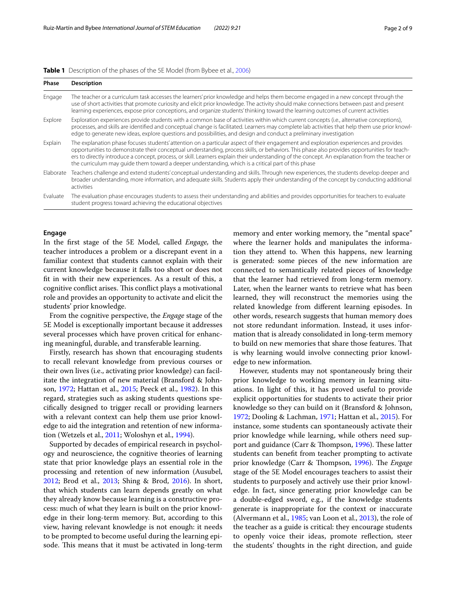<span id="page-1-0"></span>

|  |  |  |  | <b>Table 1</b> Description of the phases of the 5E Model (from Bybee et al., 2006) |
|--|--|--|--|------------------------------------------------------------------------------------|
|--|--|--|--|------------------------------------------------------------------------------------|

| Phase     | <b>Description</b>                                                                                                                                                                                                                                                                                                                                                                                                                                                                                                                              |  |  |
|-----------|-------------------------------------------------------------------------------------------------------------------------------------------------------------------------------------------------------------------------------------------------------------------------------------------------------------------------------------------------------------------------------------------------------------------------------------------------------------------------------------------------------------------------------------------------|--|--|
| Engage    | The teacher or a curriculum task accesses the learners' prior knowledge and helps them become engaged in a new concept through the<br>use of short activities that promote curiosity and elicit prior knowledge. The activity should make connections between past and present<br>learning experiences, expose prior conceptions, and organize students' thinking toward the learning outcomes of current activities                                                                                                                            |  |  |
| Explore   | Exploration experiences provide students with a common base of activities within which current concepts (i.e., alternative conceptions),<br>processes, and skills are identified and conceptual change is facilitated. Learners may complete lab activities that help them use prior knowl-<br>edge to generate new ideas, explore questions and possibilities, and design and conduct a preliminary investigation                                                                                                                              |  |  |
| Explain   | The explanation phase focuses students' attention on a particular aspect of their engagement and exploration experiences and provides<br>opportunities to demonstrate their conceptual understanding, process skills, or behaviors. This phase also provides opportunities for teach-<br>ers to directly introduce a concept, process, or skill. Learners explain their understanding of the concept. An explanation from the teacher or<br>the curriculum may quide them toward a deeper understanding, which is a critical part of this phase |  |  |
| Elaborate | Teachers challenge and extend students' conceptual understanding and skills. Through new experiences, the students develop deeper and<br>broader understanding, more information, and adequate skills. Students apply their understanding of the concept by conducting additional<br>activities                                                                                                                                                                                                                                                 |  |  |
| Evaluate  | The evaluation phase encourages students to assess their understanding and abilities and provides opportunities for teachers to evaluate<br>student progress toward achieving the educational objectives                                                                                                                                                                                                                                                                                                                                        |  |  |

# **Engage**

In the frst stage of the 5E Model, called *Engage,* the teacher introduces a problem or a discrepant event in a familiar context that students cannot explain with their current knowledge because it falls too short or does not ft in with their new experiences. As a result of this, a cognitive conflict arises. This conflict plays a motivational role and provides an opportunity to activate and elicit the students' prior knowledge.

From the cognitive perspective, the *Engage* stage of the 5E Model is exceptionally important because it addresses several processes which have proven critical for enhancing meaningful, durable, and transferable learning.

Firstly, research has shown that encouraging students to recall relevant knowledge from previous courses or their own lives (i.e., activating prior knowledge) can facilitate the integration of new material (Bransford & Johnson, [1972](#page-6-2); Hattan et al., [2015;](#page-7-4) Peeck et al., [1982](#page-7-5)). In this regard, strategies such as asking students questions specifcally designed to trigger recall or providing learners with a relevant context can help them use prior knowledge to aid the integration and retention of new information (Wetzels et al., [2011](#page-8-0); Woloshyn et al., [1994\)](#page-8-1).

Supported by decades of empirical research in psychology and neuroscience, the cognitive theories of learning state that prior knowledge plays an essential role in the processing and retention of new information (Ausubel, [2012](#page-6-3); Brod et al., [2013;](#page-6-4) Shing & Brod, [2016\)](#page-7-6). In short, that which students can learn depends greatly on what they already know because learning is a constructive process: much of what they learn is built on the prior knowledge in their long-term memory. But, according to this view, having relevant knowledge is not enough: it needs to be prompted to become useful during the learning episode. This means that it must be activated in long-term memory and enter working memory, the "mental space" where the learner holds and manipulates the information they attend to. When this happens, new learning is generated: some pieces of the new information are connected to semantically related pieces of knowledge that the learner had retrieved from long-term memory. Later, when the learner wants to retrieve what has been learned, they will reconstruct the memories using the related knowledge from diferent learning episodes. In other words, research suggests that human memory does not store redundant information. Instead, it uses information that is already consolidated in long-term memory to build on new memories that share those features. That is why learning would involve connecting prior knowledge to new information.

However, students may not spontaneously bring their prior knowledge to working memory in learning situations. In light of this, it has proved useful to provide explicit opportunities for students to activate their prior knowledge so they can build on it (Bransford & Johnson, [1972](#page-6-2); Dooling & Lachman, [1971](#page-7-7); Hattan et al., [2015\)](#page-7-4). For instance, some students can spontaneously activate their prior knowledge while learning, while others need sup-port and guidance (Carr & Thompson, [1996](#page-7-8)). These latter students can beneft from teacher prompting to activate prior knowledge (Carr & Thompson, [1996](#page-7-8)). The *Engage* stage of the 5E Model encourages teachers to assist their students to purposely and actively use their prior knowledge. In fact, since generating prior knowledge can be a double-edged sword, e.g., if the knowledge students generate is inappropriate for the context or inaccurate (Alvermann et al., [1985;](#page-6-5) van Loon et al., [2013](#page-8-2)), the role of the teacher as a guide is critical: they encourage students to openly voice their ideas, promote refection, steer the students' thoughts in the right direction, and guide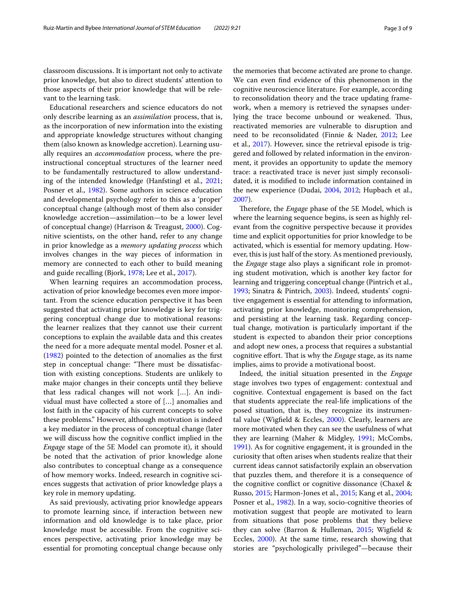classroom discussions. It is important not only to activate prior knowledge, but also to direct students' attention to those aspects of their prior knowledge that will be relevant to the learning task.

Educational researchers and science educators do not only describe learning as an *assimilation* process, that is, as the incorporation of new information into the existing and appropriate knowledge structures without changing them (also known as knowledge accretion). Learning usually requires an *accommodation* process, where the preinstructional conceptual structures of the learner need to be fundamentally restructured to allow understanding of the intended knowledge (Hanfstingl et al., [2021](#page-7-9); Posner et al., [1982\)](#page-7-10). Some authors in science education and developmental psychology refer to this as a 'proper' conceptual change (although most of them also consider knowledge accretion—assimilation—to be a lower level of conceptual change) (Harrison & Treagust, [2000](#page-7-11)). Cognitive scientists, on the other hand, refer to any change in prior knowledge as a *memory updating process* which involves changes in the way pieces of information in memory are connected to each other to build meaning and guide recalling (Bjork, [1978](#page-6-6); Lee et al., [2017](#page-7-12)).

When learning requires an accommodation process, activation of prior knowledge becomes even more important. From the science education perspective it has been suggested that activating prior knowledge is key for triggering conceptual change due to motivational reasons: the learner realizes that they cannot use their current conceptions to explain the available data and this creates the need for a more adequate mental model. Posner et al. ([1982\)](#page-7-10) pointed to the detection of anomalies as the frst step in conceptual change: "There must be dissatisfaction with existing conceptions. Students are unlikely to make major changes in their concepts until they believe that less radical changes will not work […]. An individual must have collected a store of […] anomalies and lost faith in the capacity of his current concepts to solve these problems." However, although motivation is indeed a key mediator in the process of conceptual change (later we will discuss how the cognitive confict implied in the *Engage* stage of the 5E Model can promote it), it should be noted that the activation of prior knowledge alone also contributes to conceptual change as a consequence of how memory works. Indeed, research in cognitive sciences suggests that activation of prior knowledge plays a key role in memory updating.

As said previously, activating prior knowledge appears to promote learning since, if interaction between new information and old knowledge is to take place, prior knowledge must be accessible. From the cognitive sciences perspective, activating prior knowledge may be essential for promoting conceptual change because only the memories that become activated are prone to change. We can even fnd evidence of this phenomenon in the cognitive neuroscience literature. For example, according to reconsolidation theory and the trace updating framework, when a memory is retrieved the synapses underlying the trace become unbound or weakened. Thus, reactivated memories are vulnerable to disruption and need to be reconsolidated (Finnie & Nader, [2012](#page-7-13); Lee et al., [2017\)](#page-7-12). However, since the retrieval episode is triggered and followed by related information in the environment, it provides an opportunity to update the memory trace: a reactivated trace is never just simply reconsolidated, it is modifed to include information contained in the new experience (Dudai, [2004](#page-7-14), [2012;](#page-7-15) Hupbach et al., [2007](#page-7-16)).

Therefore, the *Engage* phase of the 5E Model, which is where the learning sequence begins, is seen as highly relevant from the cognitive perspective because it provides time and explicit opportunities for prior knowledge to be activated, which is essential for memory updating. However, this is just half of the story. As mentioned previously, the *Engage* stage also plays a signifcant role in promoting student motivation, which is another key factor for learning and triggering conceptual change (Pintrich et al., [1993](#page-7-17); Sinatra & Pintrich, [2003](#page-7-18)). Indeed, students' cognitive engagement is essential for attending to information, activating prior knowledge, monitoring comprehension, and persisting at the learning task. Regarding conceptual change, motivation is particularly important if the student is expected to abandon their prior conceptions and adopt new ones, a process that requires a substantial cognitive effort. That is why the *Engage* stage, as its name implies, aims to provide a motivational boost.

Indeed, the initial situation presented in the *Engage* stage involves two types of engagement: contextual and cognitive. Contextual engagement is based on the fact that students appreciate the real-life implications of the posed situation, that is, they recognize its instrumental value (Wigfeld & Eccles, [2000](#page-8-3)). Clearly, learners are more motivated when they can see the usefulness of what they are learning (Maher & Midgley, [1991;](#page-7-19) McCombs, [1991](#page-7-20)). As for cognitive engagement, it is grounded in the curiosity that often arises when students realize that their current ideas cannot satisfactorily explain an observation that puzzles them, and therefore it is a consequence of the cognitive confict or cognitive dissonance (Chaxel & Russo, [2015](#page-7-21); Harmon-Jones et al., [2015](#page-7-22); Kang et al., [2004](#page-7-23); Posner et al., [1982\)](#page-7-10). In a way, socio-cognitive theories of motivation suggest that people are motivated to learn from situations that pose problems that they believe they can solve (Barron & Hulleman, [2015;](#page-6-7) Wigfeld & Eccles, [2000\)](#page-8-3). At the same time, research showing that stories are "psychologically privileged"—because their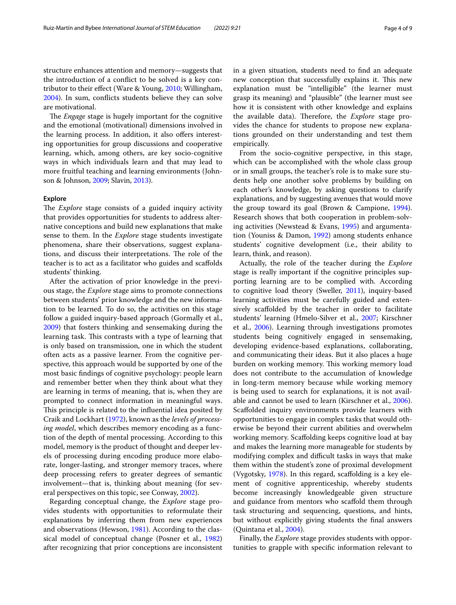structure enhances attention and memory—suggests that the introduction of a confict to be solved is a key contributor to their efect (Ware & Young, [2010;](#page-8-4) Willingham, [2004](#page-8-5)). In sum, conficts students believe they can solve are motivational.

The *Engage* stage is hugely important for the cognitive and the emotional (motivational) dimensions involved in the learning process. In addition, it also offers interesting opportunities for group discussions and cooperative learning, which, among others, are key socio-cognitive ways in which individuals learn and that may lead to more fruitful teaching and learning environments (Johnson & Johnson, [2009;](#page-7-24) Slavin, [2013](#page-7-25)).

### **Explore**

The *Explore* stage consists of a guided inquiry activity that provides opportunities for students to address alternative conceptions and build new explanations that make sense to them. In the *Explore* stage students investigate phenomena, share their observations, suggest explanations, and discuss their interpretations. The role of the teacher is to act as a facilitator who guides and scafolds students' thinking.

After the activation of prior knowledge in the previous stage, the *Explore* stage aims to promote connections between students' prior knowledge and the new information to be learned. To do so, the activities on this stage follow a guided inquiry-based approach (Gormally et al., [2009](#page-7-26)) that fosters thinking and sensemaking during the learning task. This contrasts with a type of learning that is only based on transmission, one in which the student often acts as a passive learner. From the cognitive perspective, this approach would be supported by one of the most basic fndings of cognitive psychology: people learn and remember better when they think about what they are learning in terms of meaning, that is, when they are prompted to connect information in meaningful ways. This principle is related to the influential idea posited by Craik and Lockhart [\(1972\)](#page-7-27), known as the *levels of processing model*, which describes memory encoding as a function of the depth of mental processing. According to this model, memory is the product of thought and deeper levels of processing during encoding produce more elaborate, longer-lasting, and stronger memory traces, where deep processing refers to greater degrees of semantic involvement—that is, thinking about meaning (for several perspectives on this topic, see Conway, [2002\)](#page-7-28).

Regarding conceptual change, the *Explore* stage provides students with opportunities to reformulate their explanations by inferring them from new experiences and observations (Hewson, [1981\)](#page-7-29). According to the classical model of conceptual change (Posner et al., [1982](#page-7-10)) after recognizing that prior conceptions are inconsistent in a given situation, students need to fnd an adequate new conception that successfully explains it. This new explanation must be "intelligible" (the learner must grasp its meaning) and "plausible" (the learner must see how it is consistent with other knowledge and explains the available data). Therefore, the *Explore* stage provides the chance for students to propose new explanations grounded on their understanding and test them empirically.

From the socio-cognitive perspective, in this stage, which can be accomplished with the whole class group or in small groups, the teacher's role is to make sure students help one another solve problems by building on each other's knowledge, by asking questions to clarify explanations, and by suggesting avenues that would move the group toward its goal (Brown & Campione, [1994](#page-6-8)). Research shows that both cooperation in problem-solving activities (Newstead & Evans, [1995](#page-7-30)) and argumentation (Youniss & Damon, [1992\)](#page-8-6) among students enhance students' cognitive development (i.e., their ability to learn, think, and reason).

Actually, the role of the teacher during the *Explore* stage is really important if the cognitive principles supporting learning are to be complied with. According to cognitive load theory (Sweller, [2011\)](#page-8-7), inquiry-based learning activities must be carefully guided and extensively scaffolded by the teacher in order to facilitate students' learning (Hmelo-Silver et al., [2007;](#page-7-31) Kirschner et al., [2006\)](#page-7-32). Learning through investigations promotes students being cognitively engaged in sensemaking, developing evidence-based explanations, collaborating, and communicating their ideas. But it also places a huge burden on working memory. This working memory load does not contribute to the accumulation of knowledge in long-term memory because while working memory is being used to search for explanations, it is not available and cannot be used to learn (Kirschner et al., [2006](#page-7-32)). Scafolded inquiry environments provide learners with opportunities to engage in complex tasks that would otherwise be beyond their current abilities and overwhelm working memory. Scafolding keeps cognitive load at bay and makes the learning more manageable for students by modifying complex and difficult tasks in ways that make them within the student's zone of proximal development (Vygotsky, [1978](#page-8-8)). In this regard, scafolding is a key element of cognitive apprenticeship, whereby students become increasingly knowledgeable given structure and guidance from mentors who scafold them through task structuring and sequencing, questions, and hints, but without explicitly giving students the fnal answers (Quintana et al., [2004\)](#page-7-33).

Finally, the *Explore* stage provides students with opportunities to grapple with specifc information relevant to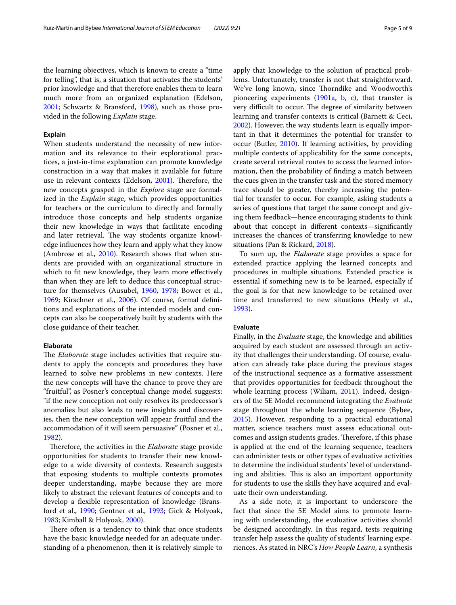the learning objectives, which is known to create a "time for telling", that is, a situation that activates the students' prior knowledge and that therefore enables them to learn much more from an organized explanation (Edelson, [2001](#page-7-34); Schwartz & Bransford, [1998\)](#page-7-35), such as those provided in the following *Explain* stage.

# **Explain**

When students understand the necessity of new information and its relevance to their explorational practices, a just-in-time explanation can promote knowledge construction in a way that makes it available for future use in relevant contexts (Edelson, [2001](#page-7-34)). Therefore, the new concepts grasped in the *Explore* stage are formalized in the *Explain* stage, which provides opportunities for teachers or the curriculum to directly and formally introduce those concepts and help students organize their new knowledge in ways that facilitate encoding and later retrieval. The way students organize knowledge infuences how they learn and apply what they know (Ambrose et al., [2010\)](#page-6-9). Research shows that when students are provided with an organizational structure in which to fit new knowledge, they learn more effectively than when they are left to deduce this conceptual structure for themselves (Ausubel, [1960,](#page-6-10) [1978;](#page-6-11) Bower et al., [1969](#page-6-12); Kirschner et al., [2006\)](#page-7-32). Of course, formal defnitions and explanations of the intended models and concepts can also be cooperatively built by students with the close guidance of their teacher.

# **Elaborate**

The *Elaborate* stage includes activities that require students to apply the concepts and procedures they have learned to solve new problems in new contexts. Here the new concepts will have the chance to prove they are "fruitful", as Posner's conceptual change model suggests: "if the new conception not only resolves its predecessor's anomalies but also leads to new insights and discoveries, then the new conception will appear fruitful and the accommodation of it will seem persuasive" (Posner et al., [1982](#page-7-10)).

Therefore, the activities in the *Elaborate* stage provide opportunities for students to transfer their new knowledge to a wide diversity of contexts. Research suggests that exposing students to multiple contexts promotes deeper understanding, maybe because they are more likely to abstract the relevant features of concepts and to develop a flexible representation of knowledge (Bransford et al., [1990;](#page-6-13) Gentner et al., [1993;](#page-7-36) Gick & Holyoak, [1983](#page-7-37); Kimball & Holyoak, [2000\)](#page-7-38).

There often is a tendency to think that once students have the basic knowledge needed for an adequate understanding of a phenomenon, then it is relatively simple to apply that knowledge to the solution of practical problems. Unfortunately, transfer is not that straightforward. We've long known, since Thorndike and Woodworth's pioneering experiments  $(1901a, b, c)$  $(1901a, b, c)$  $(1901a, b, c)$  $(1901a, b, c)$  $(1901a, b, c)$  $(1901a, b, c)$ , that transfer is very difficult to occur. The degree of similarity between learning and transfer contexts is critical (Barnett & Ceci, [2002](#page-6-14)). However, the way students learn is equally important in that it determines the potential for transfer to occur (Butler, [2010](#page-6-15)). If learning activities, by providing multiple contexts of applicability for the same concepts, create several retrieval routes to access the learned information, then the probability of fnding a match between the cues given in the transfer task and the stored memory trace should be greater, thereby increasing the potential for transfer to occur. For example, asking students a series of questions that target the same concept and giving them feedback—hence encouraging students to think about that concept in diferent contexts—signifcantly increases the chances of transferring knowledge to new situations (Pan & Rickard, [2018\)](#page-7-39).

To sum up, the *Elaborate* stage provides a space for extended practice applying the learned concepts and procedures in multiple situations. Extended practice is essential if something new is to be learned, especially if the goal is for that new knowledge to be retained over time and transferred to new situations (Healy et al., [1993](#page-7-40)).

# **Evaluate**

Finally, in the *Evaluate* stage, the knowledge and abilities acquired by each student are assessed through an activity that challenges their understanding. Of course, evaluation can already take place during the previous stages of the instructional sequence as a formative assessment that provides opportunities for feedback throughout the whole learning process (Wiliam, [2011\)](#page-8-12). Indeed, designers of the 5E Model recommend integrating the *Evaluate* stage throughout the whole learning sequence (Bybee, [2015](#page-6-0)). However, responding to a practical educational matter, science teachers must assess educational outcomes and assign students grades. Therefore, if this phase is applied at the end of the learning sequence, teachers can administer tests or other types of evaluative activities to determine the individual students' level of understanding and abilities. This is also an important opportunity for students to use the skills they have acquired and evaluate their own understanding.

As a side note, it is important to underscore the fact that since the 5E Model aims to promote learning with understanding, the evaluative activities should be designed accordingly. In this regard, tests requiring transfer help assess the quality of students' learning experiences. As stated in NRC's *How People Learn*, a synthesis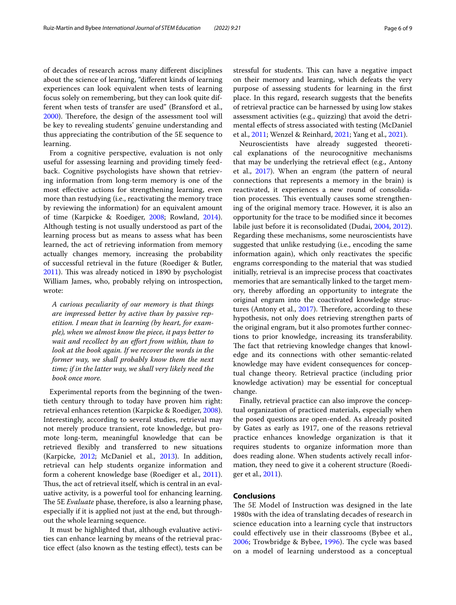of decades of research across many diferent disciplines about the science of learning, "diferent kinds of learning experiences can look equivalent when tests of learning focus solely on remembering, but they can look quite different when tests of transfer are used" (Bransford et al., [2000](#page-6-16)). Therefore, the design of the assessment tool will be key to revealing students' genuine understanding and thus appreciating the contribution of the 5E sequence to learning.

From a cognitive perspective, evaluation is not only useful for assessing learning and providing timely feedback. Cognitive psychologists have shown that retrieving information from long-term memory is one of the most efective actions for strengthening learning, even more than restudying (i.e., reactivating the memory trace by reviewing the information) for an equivalent amount of time (Karpicke & Roediger, [2008;](#page-7-41) Rowland, [2014](#page-7-42)). Although testing is not usually understood as part of the learning process but as means to assess what has been learned, the act of retrieving information from memory actually changes memory, increasing the probability of successful retrieval in the future (Roediger & Butler, [2011](#page-7-43)). This was already noticed in 1890 by psychologist William James, who, probably relying on introspection, wrote:

*A curious peculiarity of our memory is that things are impressed better by active than by passive repetition. I mean that in learning (by heart, for example), when we almost know the piece, it pays better to wait and recollect by an efort from within, than to look at the book again. If we recover the words in the former way, we shall probably know them the next time; if in the latter way, we shall very likely need the book once more.*

Experimental reports from the beginning of the twentieth century through to today have proven him right: retrieval enhances retention (Karpicke & Roediger, [2008](#page-7-41)). Interestingly, according to several studies, retrieval may not merely produce transient, rote knowledge, but promote long-term, meaningful knowledge that can be retrieved fexibly and transferred to new situations (Karpicke, [2012](#page-7-44); McDaniel et al., [2013\)](#page-7-45). In addition, retrieval can help students organize information and form a coherent knowledge base (Roediger et al., [2011](#page-7-46)). Thus, the act of retrieval itself, which is central in an evaluative activity, is a powerful tool for enhancing learning. The 5E *Evaluate* phase, therefore, is also a learning phase, especially if it is applied not just at the end, but throughout the whole learning sequence.

It must be highlighted that, although evaluative activities can enhance learning by means of the retrieval practice efect (also known as the testing efect), tests can be stressful for students. This can have a negative impact on their memory and learning, which defeats the very purpose of assessing students for learning in the frst place. In this regard, research suggests that the benefts of retrieval practice can be harnessed by using low stakes assessment activities (e.g., quizzing) that avoid the detrimental effects of stress associated with testing (McDaniel et al., [2011](#page-7-47); Wenzel & Reinhard, [2021;](#page-8-13) Yang et al., [2021](#page-8-14)).

Neuroscientists have already suggested theoretical explanations of the neurocognitive mechanisms that may be underlying the retrieval efect (e.g., Antony et al., [2017](#page-6-17)). When an engram (the pattern of neural connections that represents a memory in the brain) is reactivated, it experiences a new round of consolidation processes. This eventually causes some strengthening of the original memory trace. However, it is also an opportunity for the trace to be modifed since it becomes labile just before it is reconsolidated (Dudai, [2004,](#page-7-14) [2012](#page-7-15)). Regarding these mechanisms, some neuroscientists have suggested that unlike restudying (i.e., encoding the same information again), which only reactivates the specifc engrams corresponding to the material that was studied initially, retrieval is an imprecise process that coactivates memories that are semantically linked to the target memory, thereby afording an opportunity to integrate the original engram into the coactivated knowledge struc-tures (Antony et al., [2017\)](#page-6-17). Therefore, according to these hypothesis, not only does retrieving strengthen parts of the original engram, but it also promotes further connections to prior knowledge, increasing its transferability. The fact that retrieving knowledge changes that knowledge and its connections with other semantic-related knowledge may have evident consequences for conceptual change theory. Retrieval practice (including prior knowledge activation) may be essential for conceptual change.

Finally, retrieval practice can also improve the conceptual organization of practiced materials, especially when the posed questions are open-ended. As already posited by Gates as early as 1917, one of the reasons retrieval practice enhances knowledge organization is that it requires students to organize information more than does reading alone. When students actively recall information, they need to give it a coherent structure (Roediger et al., [2011](#page-7-46)).

# **Conclusions**

The 5E Model of Instruction was designed in the late 1980s with the idea of translating decades of research in science education into a learning cycle that instructors could efectively use in their classrooms (Bybee et al., [2006;](#page-6-1) Trowbridge & Bybee, [1996\)](#page-8-15). The cycle was based on a model of learning understood as a conceptual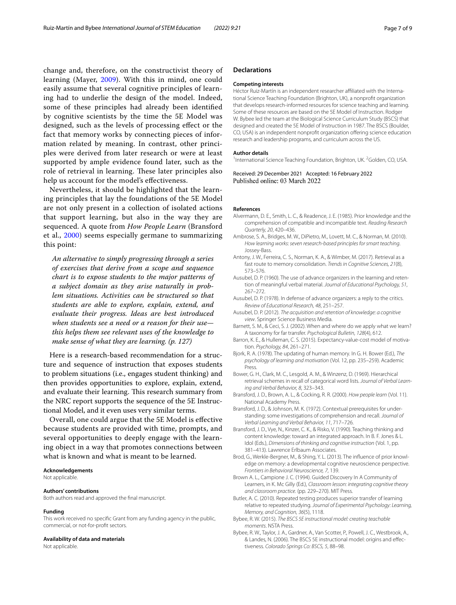change and, therefore, on the constructivist theory of learning (Mayer, [2009\)](#page-7-48). With this in mind, one could easily assume that several cognitive principles of learning had to underlie the design of the model. Indeed, some of these principles had already been identifed by cognitive scientists by the time the 5E Model was designed, such as the levels of processing efect or the fact that memory works by connecting pieces of information related by meaning. In contrast, other principles were derived from later research or were at least supported by ample evidence found later, such as the role of retrieval in learning. These later principles also help us account for the model's efectiveness.

Nevertheless, it should be highlighted that the learning principles that lay the foundations of the 5E Model are not only present in a collection of isolated actions that support learning, but also in the way they are sequenced. A quote from *How People Learn* (Bransford et al., [2000\)](#page-6-16) seems especially germane to summarizing this point:

*An alternative to simply progressing through a series of exercises that derive from a scope and sequence chart is to expose students to the major patterns of a subject domain as they arise naturally in problem situations. Activities can be structured so that students are able to explore, explain, extend, and evaluate their progress. Ideas are best introduced when students see a need or a reason for their use this helps them see relevant uses of the knowledge to make sense of what they are learning. (p. 127)*

Here is a research-based recommendation for a structure and sequence of instruction that exposes students to problem situations (i.e., engages student thinking) and then provides opportunities to explore, explain, extend, and evaluate their learning. This research summary from the NRC report supports the sequence of the 5E Instructional Model, and it even uses very similar terms.

Overall, one could argue that the 5E Model is efective because students are provided with time, prompts, and several opportunities to deeply engage with the learning object in a way that promotes connections between what is known and what is meant to be learned.

#### **Acknowledgements**

Not applicable.

#### **Authors' contributions**

Both authors read and approved the fnal manuscript.

#### **Funding**

This work received no specifc Grant from any funding agency in the public, commercial, or not-for-proft sectors.

# **Availability of data and materials**

Not applicable.

#### **Declarations**

#### **Competing interests**

Héctor Ruiz-Martín is an independent researcher affiliated with the International Science Teaching Foundation (Brighton, UK), a nonproft organization that develops research-informed resources for science teaching and learning. Some of these resources are based on the 5E Model of Instruction. Rodger W. Bybee led the team at the Biological Science Curriculum Study (BSCS) that designed and created the 5E Model of Instruction in 1987. The BSCS (Boulder, CO, USA) is an independent nonproft organization ofering science education research and leadership programs, and curriculum across the US.

#### **Author details**

<sup>1</sup>International Science Teaching Foundation, Brighton, UK. <sup>2</sup>Golden, CO, USA.

Received: 29 December 2021 Accepted: 16 February 2022 Published online: 03 March 2022

#### **References**

- <span id="page-6-5"></span>Alvermann, D. E., Smith, L. C., & Readence, J. E. (1985). Prior knowledge and the comprehension of compatible and incompatible text. *Reading Research Quarterly, 20*, 420–436.
- <span id="page-6-9"></span>Ambrose, S. A., Bridges, M. W., DiPietro, M., Lovett, M. C., & Norman, M. (2010). *How learning works: seven research-based principles for smart teaching*. Jossey-Bass.
- <span id="page-6-17"></span>Antony, J. W., Ferreira, C. S., Norman, K. A., & Wimber, M. (2017). Retrieval as a fast route to memory consolidation. *Trends in Cognitive Sciences, 21*(8), 573–576.
- <span id="page-6-10"></span>Ausubel, D. P. (1960). The use of advance organizers in the learning and retention of meaningful verbal material. *Journal of Educational Psychology, 51*, 267–272.
- <span id="page-6-11"></span>Ausubel, D. P. (1978). In defense of advance organizers: a reply to the critics. *Review of Educational Research, 48*, 251–257.
- <span id="page-6-3"></span>Ausubel, D. P. (2012). *The acquisition and retention of knowledge: a cognitive view*. Springer Science Business Media.
- <span id="page-6-14"></span>Barnett, S. M., & Ceci, S. J. (2002). When and where do we apply what we learn? A taxonomy for far transfer. *Psychological Bulletin, 128*(4), 612.
- <span id="page-6-7"></span>Barron, K. E., & Hulleman, C. S. (2015). Expectancy-value-cost model of motivation. *Psychology, 84*, 261–271.
- <span id="page-6-6"></span>Bjork, R. A. (1978). The updating of human memory. In G. H. Bower (Ed.), *The psychology of learning and motivation* (Vol. 12, pp. 235–259). Academic Press.
- <span id="page-6-12"></span>Bower, G. H., Clark, M. C., Lesgold, A. M., & Winzenz, D. (1969). Hierarchical retrieval schemes in recall of categorical word lists. *Journal of Verbal Learning and Verbal Behavior, 8*, 323–343.
- <span id="page-6-16"></span>Bransford, J. D., Brown, A. L., & Cocking, R. R. (2000). *How people learn* (Vol. 11). National Academy Press.
- <span id="page-6-2"></span>Bransford, J. D., & Johnson, M. K. (1972). Contextual prerequisites for understanding: some investigations of comprehension and recall. *Journal of Verbal Learning and Verbal Behavior, 11*, 717–726.
- <span id="page-6-13"></span>Bransford, J. D., Vye, N., Kinzer, C. K., & Risko, V. (1990). Teaching thinking and content knowledge: toward an integrated approach. In B. F. Jones & L. Idol (Eds.), *Dimensions of thinking and cognitive instruction* (Vol. 1, pp. 381–413). Lawrence Erlbaum Associates.
- <span id="page-6-4"></span>Brod, G., Werkle-Bergner, M., & Shing, Y. L. (2013). The influence of prior knowledge on memory: a developmental cognitive neuroscience perspective. *Frontiers in Behavioral Neuroscience, 7*, 139.
- <span id="page-6-8"></span>Brown A. L., Campione J. C. (1994). Guided Discovery In A Community of Learners, in K. Mc Gilly (Ed.), *Classroom lesson: integrating cognitive theory and classroom practice.* (pp. 229–270). MIT Press.
- <span id="page-6-15"></span>Butler, A. C. (2010). Repeated testing produces superior transfer of learning relative to repeated studying. *Journal of Experimental Psychology: Learning, Memory, and Cognition, 36*(5), 1118.
- <span id="page-6-0"></span>Bybee, R. W. (2015). *The BSCS 5E instructional model: creating teachable moments*. NSTA Press.
- <span id="page-6-1"></span>Bybee, R. W., Taylor, J. A., Gardner, A., Van Scotter, P., Powell, J. C., Westbrook, A., & Landes, N. (2006). The BSCS 5E instructional model: origins and efec‑ tiveness. *Colorado Springs Co: BSCS, 5*, 88–98.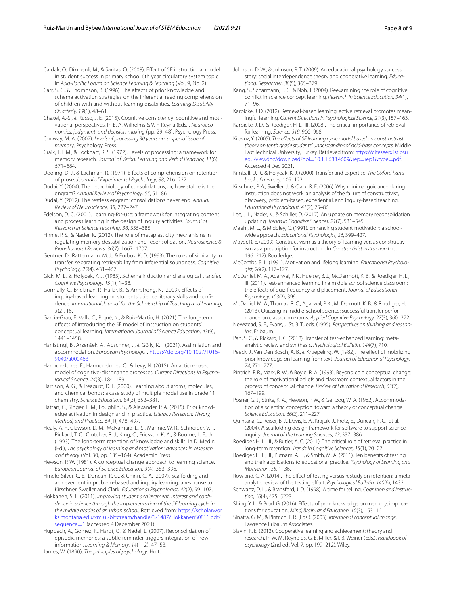<span id="page-7-1"></span>Cardak, O., Dikmenli, M., & Saritas, O. (2008). Efect of 5E instructional model in student success in primary school 6th year circulatory system topic. In *Asia-Pacifc Forum on Science Learning & Teaching* (Vol. 9, No. 2).

<span id="page-7-8"></span>Carr, S. C., & Thompson, B. (1996). The efects of prior knowledge and schema activation strategies on the inferential reading comprehension of children with and without learning disabilities. *Learning Disability Quarterly, 19*(1), 48–61.

<span id="page-7-21"></span>Chaxel, A.-S., & Russo, J. E. (2015). Cognitive consistency: cognitive and motivational perspectives. In E. A. Wilhelms & V. F. Reyna (Eds.), *Neuroeconomics, judgment, and decision making* (pp. 29–48). Psychology Press.

<span id="page-7-28"></span>Conway, M. A. (2002). *Levels of processing 30 years on: a special issue of memory*. Psychology Press.

<span id="page-7-27"></span>Craik, F. I. M., & Lockhart, R. S. (1972). Levels of processing: a framework for memory research. *Journal of Verbal Learning and Verbal Behavior, 11*(6), 671–684.

<span id="page-7-7"></span>Dooling, D. J., & Lachman, R. (1971). Effects of comprehension on retention of prose. *Journal of Experimental Psychology, 88*, 216–222.

<span id="page-7-14"></span>Dudai, Y. (2004). The neurobiology of consolidations, or, how stable is the engram? *Annual Review of Psychology, 55*, 51–86.

<span id="page-7-15"></span>Dudai, Y. (2012). The restless engram: consolidations never end. *Annual Review of Neuroscience, 35*, 227–247.

<span id="page-7-34"></span>Edelson, D. C. (2001). Learning-for-use: a framework for integrating content and process learning in the design of inquiry activities. *Journal of Research in Science Teaching, 38*, 355–385.

<span id="page-7-13"></span>Finnie, P. S., & Nader, K. (2012). The role of metaplasticity mechanisms in regulating memory destabilization and reconsolidation. *Neuroscience & Biobehavioral Reviews, 36*(7), 1667–1707.

<span id="page-7-36"></span>Gentner, D., Rattermann, M. J., & Forbus, K. D. (1993). The roles of similarity in transfer: separating retrievability from inferential soundness. *Cognitive Psychology, 25*(4), 431–467.

<span id="page-7-37"></span>Gick, M. L., & Holyoak, K. J. (1983). Schema induction and analogical transfer. *Cognitive Psychology, 15*(1), 1–38.

<span id="page-7-26"></span>Gormally, C., Brickman, P., Hallar, B., & Armstrong, N. (2009). Efects of inquiry-based learning on students' science literacy skills and confidence. *International Journal for the Scholarship of Teaching and Learning, 3*(2), 16.

<span id="page-7-2"></span>Garcia-Grau, F., Valls, C., Piqué, N., & Ruiz-Martín, H. (2021). The long-term efects of introducing the 5E model of instruction on students' conceptual learning. *International Journal of Science Education, 43*(9), 1441–1458.

<span id="page-7-9"></span>Hanfstingl, B., Arzenšek, A., Apschner, J., & Gölly, K. I. (2021). Assimilation and accommodation. *European Psychologist*. [https://doi.org/10.1027/1016-](https://doi.org/10.1027/1016-9040/a000463) [9040/a000463](https://doi.org/10.1027/1016-9040/a000463)

<span id="page-7-22"></span>Harmon-Jones, E., Harmon-Jones, C., & Levy, N. (2015). An action-based model of cognitive-dissonance processes. *Current Directions in Psychological Science, 24*(3), 184–189.

<span id="page-7-11"></span>Harrison, A. G., & Treagust, D. F. (2000). Learning about atoms, molecules, and chemical bonds: a case study of multiple model use in grade 11 chemistry. *Science Education, 84*(3), 352–381.

<span id="page-7-4"></span>Hattan, C., Singer, L. M., Loughlin, S., & Alexander, P. A. (2015). Prior knowledge activation in design and in practice. *Literacy Research: Theory, Method, and Practice, 64*(1), 478–497.

<span id="page-7-40"></span>Healy, A. F., Clawson, D. M., McNamara, D. S., Marmie, W. R., Schneider, V. I., Rickard, T. C., Crutcher, R. J., King, C., Ericsson, K. A., & Bourne, L. E., Jr. (1993). The long-term retention of knowledge and skills. In D. Medin (Ed.), *The psychology of learning and motivation: advances in research and theory* (Vol. 30, pp. 135–164). Academic Press.

<span id="page-7-29"></span>Hewson, P. W. (1981). A conceptual change approach to learning science. *European Journal of Science Education, 3*(4), 383–396.

<span id="page-7-31"></span>Hmelo-Silver, C. E., Duncan, R. G., & Chinn, C. A. (2007). Scaffolding and achievement in problem-based and inquiry learning: a response to Kirschner, Sweller and Clark. *Educational Psychologist, 42*(2), 99–107.

<span id="page-7-3"></span>Hokkanen, S. L. (2011). *Improving student achievement, interest and confdence in science through the implementation of the 5E learning cycle in the middle grades of an urban school.* Retrieved from: [https://scholarwor](https://scholarworks.montana.edu/xmlui/bitstream/handle/1/1487/HokkanenS0811.pdf?sequence=1) [ks.montana.edu/xmlui/bitstream/handle/1/1487/HokkanenS0811.pdf?](https://scholarworks.montana.edu/xmlui/bitstream/handle/1/1487/HokkanenS0811.pdf?sequence=1) [sequence](https://scholarworks.montana.edu/xmlui/bitstream/handle/1/1487/HokkanenS0811.pdf?sequence=1)=1 (accessed 4 December 2021).

<span id="page-7-16"></span>Hupbach, A., Gomez, R., Hardt, O., & Nadel, L. (2007). Reconsolidation of episodic memories: a subtle reminder triggers integration of new information. *Learning & Memory, 14*(1–2), 47–53.

James, W. (1890). *The principles of psychology*. Holt.

<span id="page-7-24"></span>Johnson, D. W., & Johnson, R. T. (2009). An educational psychology success story: social interdependence theory and cooperative learning. *Educational Researcher, 38*(5), 365–379.

<span id="page-7-23"></span>Kang, S., Scharmann, L. C., & Noh, T. (2004). Reexamining the role of cognitive confict in science concept learning. *Research in Science Education, 34*(1), 71–96.

<span id="page-7-44"></span>Karpicke, J. D. (2012). Retrieval-based learning: active retrieval promotes meaningful learning. *Current Directions in Psychological Science, 21*(3), 157–163.

<span id="page-7-41"></span>Karpicke, J. D., & Roediger, H. L., III. (2008). The critical importance of retrieval for learning. *Science, 319*, 966–968.

<span id="page-7-0"></span>Kilavuz, Y. (2005). *The efects of 5E learning cycle model based on constructivist theory on tenth grade students' understandingof acid-base concepts*. Middle East Technical University, Turkey. Retrieved from: [https://citeseerx.ist.psu.](https://citeseerx.ist.psu.edu/viewdoc/download?doi=10.1.1.633.4609%26rep=rep1%26type=pdf) [edu/viewdoc/download?doi](https://citeseerx.ist.psu.edu/viewdoc/download?doi=10.1.1.633.4609%26rep=rep1%26type=pdf)=10.1.1.633.4609&rep=rep1&type=pdf. Accessed 4 Dec 2021.

<span id="page-7-38"></span>Kimball, D. R., & Holyoak, K. J. (2000). Transfer and expertise. *The Oxford handbook of memory*, 109–122.

<span id="page-7-32"></span>Kirschner, P. A., Sweller, J., & Clark, R. E. (2006). Why minimal guidance during instruction does not work: an analysis of the failure of constructivist, discovery, problem-based, experiential, and inquiry-based teaching. *Educational Psychologist, 41*(2), 75–86.

<span id="page-7-12"></span>Lee, J. L., Nader, K., & Schiller, D. (2017). An update on memory reconsolidation updating. *Trends in Cognitive Sciences, 21*(7), 531–545.

<span id="page-7-19"></span>Maehr, M. L., & Midgley, C. (1991). Enhancing student motivation: a schoolwide approach. *Educational Psychologist, 26*, 399–427.

<span id="page-7-48"></span>Mayer, R. E. (2009). Constructivism as a theory of learning versus constructivism as a prescription for instruction. In *Constructivist Instruction* (pp. 196–212). Routledge.

<span id="page-7-20"></span>McCombs, B. L. (1991). Motivation and lifelong learning. *Educational Psychologist, 26*(2), 117–127.

<span id="page-7-47"></span>McDaniel, M. A., Agarwal, P. K., Huelser, B. J., McDermott, K. B., & Roediger, H. L., III. (2011). Test-enhanced learning in a middle school science classroom: the efects of quiz frequency and placement. *Journal of Educational Psychology, 103*(2), 399.

<span id="page-7-45"></span>McDaniel, M. A., Thomas, R. C., Agarwal, P. K., McDermott, K. B., & Roediger, H. L. (2013). Quizzing in middle-school science: successful transfer perfor‑ mance on classroom exams. *Applied Cognitive Psychology, 27*(3), 360–372.

<span id="page-7-30"></span>Newstead, S. E., Evans, J. St. B. T., eds. (1995). *Perspectives on thinking and reasoning*. Erlbaum.

<span id="page-7-39"></span>Pan, S. C., & Rickard, T. C. (2018). Transfer of test-enhanced learning: metaanalytic review and synthesis. *Psychological Bulletin, 144*(7), 710.

<span id="page-7-5"></span>Peeck, J., Van Den Bosch, A. B., & Kruepeling, W. (1982). The effect of mobilizing prior knowledge on learning from text. *Journal of Educational Psychology, 74*, 771–777.

<span id="page-7-17"></span>Pintrich, P. R., Marx, R. W., & Boyle, R. A. (1993). Beyond cold conceptual change: the role of motivational beliefs and classroom contextual factors in the process of conceptual change. *Review of Educational Research, 63*(2), 167–199.

<span id="page-7-10"></span>Posner, G. J., Strike, K. A., Hewson, P. W., & Gertzog, W. A. (1982). Accommodation of a scientifc conception: toward a theory of conceptual change. *Science Education, 66*(2), 211–227.

<span id="page-7-33"></span>Quintana, C., Reiser, B. J., Davis, E. A., Krajcik, J., Fretz, E., Duncan, R. G., et al. (2004). A scaffolding design framework for software to support science inquiry. *Journal of the Learning Sciences, 13*, 337–386.

<span id="page-7-43"></span>Roediger, H. L., III., & Butler, A. C. (2011). The critical role of retrieval practice in long-term retention. *Trends in Cognitive Sciences, 15*(1), 20–27.

<span id="page-7-46"></span>Roediger, H. L., III., Putnam, A. L., & Smith, M. A. (2011). Ten benefts of testing and their applications to educational practice. *Psychology of Learning and Motivation, 55*, 1–36.

<span id="page-7-42"></span>Rowland, C. A. (2014). The effect of testing versus restudy on retention: a metaanalytic review of the testing efect. *Psychological Bulletin, 140*(6), 1432.

<span id="page-7-35"></span>Schwartz, D. L., & Bransford, J. D. (1998). A time for telling. *Cognition and Instruction, 16*(4), 475–5223.

<span id="page-7-6"></span>Shing, Y. L., & Brod, G. (2016). Effects of prior knowledge on memory: implications for education. *Mind, Brain, and Education, 10*(3), 153–161.

<span id="page-7-18"></span>Sinatra, G. M., & Pintrich, P. R. (Eds.). (2003). *Intentional conceptual change*. Lawrence Erlbaum Associates.

<span id="page-7-25"></span>Slavin, R. E. (2013). Cooperative learning and achievement: theory and research. In W. M. Reynolds, G. E. Miller, & I. B. Weiner (Eds.), *Handbook of psychology* (2nd ed., Vol. 7, pp. 199–212). Wiley.